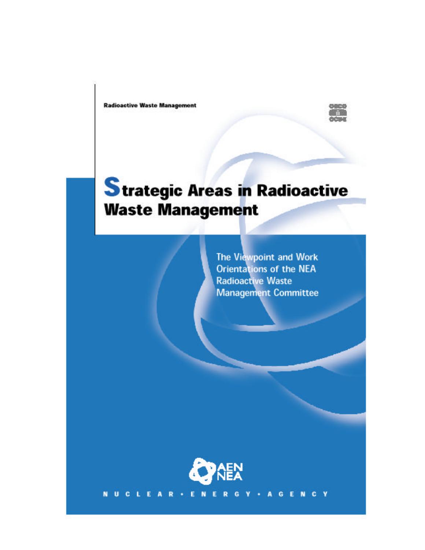

# **Strategic Areas in Radioactive Waste Management**

The Viewpoint and Work **Orientations of the NEA Radioactive Waste Management Committee** 



NUCLEAR · ENERGY · AGENCY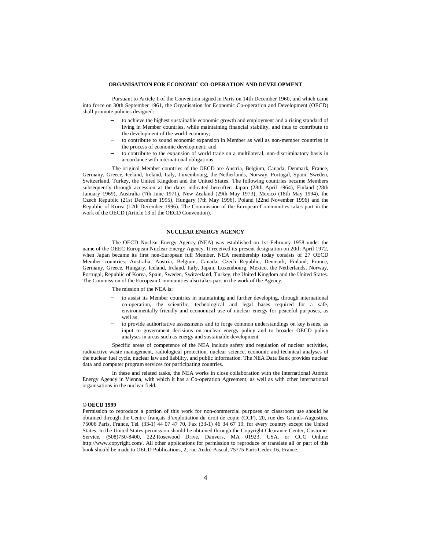#### **ORGANISATION FOR ECONOMIC CO-OPERATION AND DEVELOPMENT**

Pursuant to Article 1 of the Convention signed in Paris on 14th December 1960, and which came into force on 30th September 1961, the Organisation for Economic Co-operation and Development (OECD) shall promote policies designed:

- to achieve the highest sustainable economic growth and employment and a rising standard of living in Member countries, while maintaining financial stability, and thus to contribute to the development of the world economy;
- to contribute to sound economic expansion in Member as well as non-member countries in the process of economic development; and
- to contribute to the expansion of world trade on a multilateral, non-discriminatory basis in accordance with international obligations.

The original Member countries of the OECD are Austria, Belgium, Canada, Denmark, France, Germany, Greece, Iceland, Ireland, Italy, Luxembourg, the Netherlands, Norway, Portugal, Spain, Sweden, Switzerland, Turkey, the United Kingdom and the United States. The following countries became Members subsequently through accession at the dates indicated hereafter: Japan (28th April 1964), Finland (28th January 1969), Australia (7th June 1971), New Zealand (29th May 1973), Mexico (18th May 1994), the Czech Republic (21st December 1995), Hungary (7th May 1996), Poland (22nd November 1996) and the Republic of Korea (12th December 1996). The Commission of the European Communities takes part in the work of the OECD (Article 13 of the OECD Convention).

#### **NUCLEAR ENERGY AGENCY**

The OECD Nuclear Energy Agency (NEA) was established on 1st February 1958 under the name of the OEEC European Nuclear Energy Agency. It received its present designation on 20th April 1972, when Japan became its first non-European full Member. NEA membership today consists of 27 OECD Member countries: Australia, Austria, Belgium, Canada, Czech Republic, Denmark, Finland, France, Germany, Greece, Hungary, Iceland, Ireland, Italy, Japan, Luxembourg, Mexico, the Netherlands, Norway, Portugal, Republic of Korea, Spain, Sweden, Switzerland, Turkey, the United Kingdom and the United States. The Commission of the European Communities also takes part in the work of the Agency.

The mission of the NEA is:

- to assist its Member countries in maintaining and further developing, through international co-operation, the scientific, technological and legal bases required for a safe, environmentally friendly and economical use of nuclear energy for peaceful purposes, as well as
- to provide authoritative assessments and to forge common understandings on key issues, as input to government decisions on nuclear energy policy and to broader OECD policy analyses in areas such as energy and sustainable development.

Specific areas of competence of the NEA include safety and regulation of nuclear activities, radioactive waste management, radiological protection, nuclear science, economic and technical analyses of the nuclear fuel cycle, nuclear law and liability, and public information. The NEA Data Bank provides nuclear data and computer program services for participating countries.

In these and related tasks, the NEA works in close collaboration with the International Atomic Energy Agency in Vienna, with which it has a Co-operation Agreement, as well as with other international organisations in the nuclear field.

#### *©***OECD 1999**

Permission to reproduce a portion of this work for non-commercial purposes or classroom use should be obtained through the Centre français d'exploitation du droit de copie (CCF), 20, rue des Grands-Augustins, 75006 Paris, France, Tel. (33-1) 44 07 47 70, Fax (33-1) 46 34 67 19, for every country except the United States. In the United States permission should be obtained through the Copyright Clearance Center, Customer Service, (508)750-8400, 222 Rosewood Drive, Danvers, MA 01923, USA, or CCC Online: http://www.copyright.com/. All other applications for permission to reproduce or translate all or part of this book should be made to OECD Publications, 2, rue André-Pascal, 75775 Paris Cedex 16, France.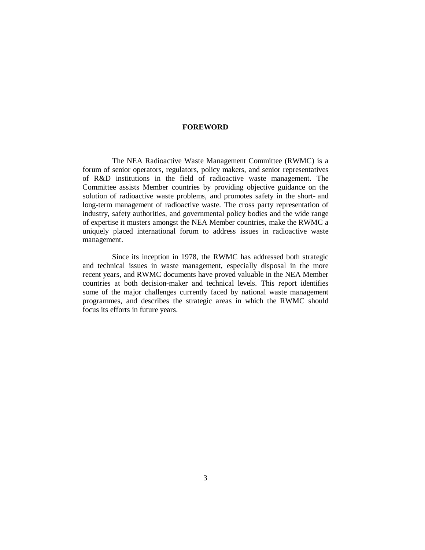# **FOREWORD**

The NEA Radioactive Waste Management Committee (RWMC) is a forum of senior operators, regulators, policy makers, and senior representatives of R&D institutions in the field of radioactive waste management. The Committee assists Member countries by providing objective guidance on the solution of radioactive waste problems, and promotes safety in the short- and long-term management of radioactive waste. The cross party representation of industry, safety authorities, and governmental policy bodies and the wide range of expertise it musters amongst the NEA Member countries, make the RWMC a uniquely placed international forum to address issues in radioactive waste management.

Since its inception in 1978, the RWMC has addressed both strategic and technical issues in waste management, especially disposal in the more recent years, and RWMC documents have proved valuable in the NEA Member countries at both decision-maker and technical levels. This report identifies some of the major challenges currently faced by national waste management programmes, and describes the strategic areas in which the RWMC should focus its efforts in future years.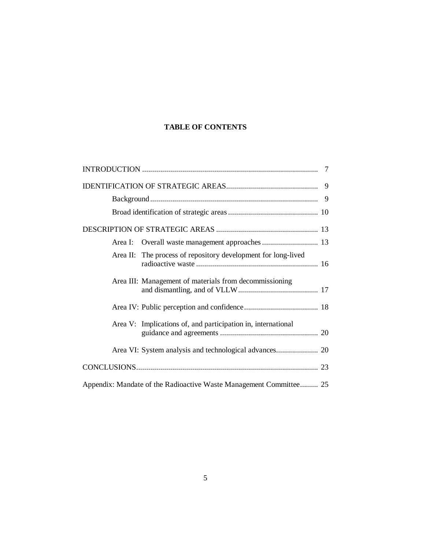# **TABLE OF CONTENTS**

| Area II: The process of repository development for long-lived      |  |
|--------------------------------------------------------------------|--|
| Area III: Management of materials from decommissioning             |  |
|                                                                    |  |
| Area V: Implications of, and participation in, international       |  |
|                                                                    |  |
|                                                                    |  |
| Appendix: Mandate of the Radioactive Waste Management Committee 25 |  |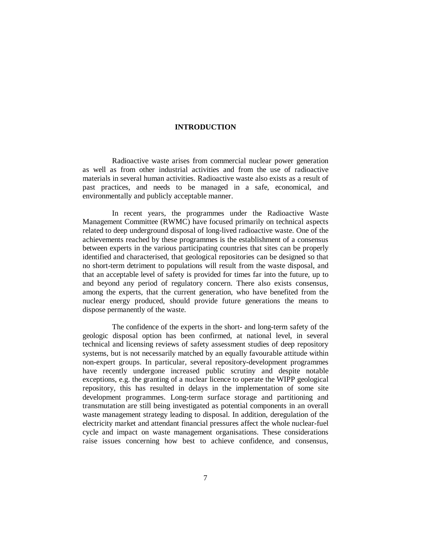#### **INTRODUCTION**

Radioactive waste arises from commercial nuclear power generation as well as from other industrial activities and from the use of radioactive materials in several human activities. Radioactive waste also exists as a result of past practices, and needs to be managed in a safe, economical, and environmentally and publicly acceptable manner.

In recent years, the programmes under the Radioactive Waste Management Committee (RWMC) have focused primarily on technical aspects related to deep underground disposal of long-lived radioactive waste. One of the achievements reached by these programmes is the establishment of a consensus between experts in the various participating countries that sites can be properly identified and characterised, that geological repositories can be designed so that no short-term detriment to populations will result from the waste disposal, and that an acceptable level of safety is provided for times far into the future, up to and beyond any period of regulatory concern. There also exists consensus, among the experts, that the current generation, who have benefited from the nuclear energy produced, should provide future generations the means to dispose permanently of the waste.

The confidence of the experts in the short- and long-term safety of the geologic disposal option has been confirmed, at national level, in several technical and licensing reviews of safety assessment studies of deep repository systems, but is not necessarily matched by an equally favourable attitude within non-expert groups. In particular, several repository-development programmes have recently undergone increased public scrutiny and despite notable exceptions, e.g. the granting of a nuclear licence to operate the WIPP geological repository, this has resulted in delays in the implementation of some site development programmes. Long-term surface storage and partitioning and transmutation are still being investigated as potential components in an overall waste management strategy leading to disposal. In addition, deregulation of the electricity market and attendant financial pressures affect the whole nuclear-fuel cycle and impact on waste management organisations. These considerations raise issues concerning how best to achieve confidence, and consensus,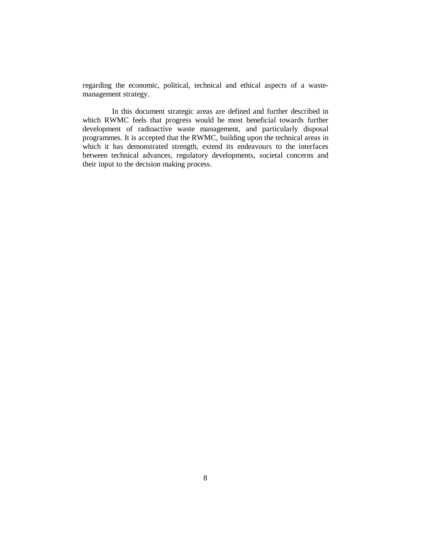regarding the economic, political, technical and ethical aspects of a wastemanagement strategy.

In this document strategic areas are defined and further described in which RWMC feels that progress would be most beneficial towards further development of radioactive waste management, and particularly disposal programmes. It is accepted that the RWMC, building upon the technical areas in which it has demonstrated strength, extend its endeavours to the interfaces between technical advances, regulatory developments, societal concerns and their input to the decision making process.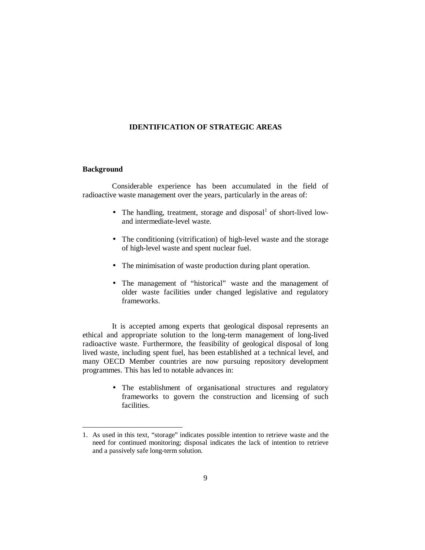# **IDENTIFICATION OF STRATEGIC AREAS**

# **Background**

 $\overline{a}$ 

Considerable experience has been accumulated in the field of radioactive waste management over the years, particularly in the areas of:

- The handling, treatment, storage and disposal<sup>1</sup> of short-lived lowand intermediate-level waste.
- The conditioning (vitrification) of high-level waste and the storage of high-level waste and spent nuclear fuel.
- The minimisation of waste production during plant operation.
- The management of "historical" waste and the management of older waste facilities under changed legislative and regulatory frameworks.

It is accepted among experts that geological disposal represents an ethical and appropriate solution to the long-term management of long-lived radioactive waste. Furthermore, the feasibility of geological disposal of long lived waste, including spent fuel, has been established at a technical level, and many OECD Member countries are now pursuing repository development programmes. This has led to notable advances in:

> • The establishment of organisational structures and regulatory frameworks to govern the construction and licensing of such facilities.

<sup>1.</sup> As used in this text, "storage" indicates possible intention to retrieve waste and the need for continued monitoring; disposal indicates the lack of intention to retrieve and a passively safe long-term solution.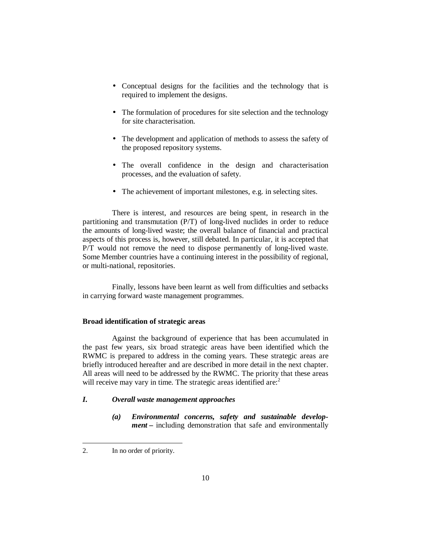- Conceptual designs for the facilities and the technology that is required to implement the designs.
- The formulation of procedures for site selection and the technology for site characterisation.
- The development and application of methods to assess the safety of the proposed repository systems.
- The overall confidence in the design and characterisation processes, and the evaluation of safety.
- The achievement of important milestones, e.g. in selecting sites.

There is interest, and resources are being spent, in research in the partitioning and transmutation (P/T) of long-lived nuclides in order to reduce the amounts of long-lived waste; the overall balance of financial and practical aspects of this process is, however, still debated. In particular, it is accepted that P/T would not remove the need to dispose permanently of long-lived waste. Some Member countries have a continuing interest in the possibility of regional, or multi-national, repositories.

Finally, lessons have been learnt as well from difficulties and setbacks in carrying forward waste management programmes.

# **Broad identification of strategic areas**

Against the background of experience that has been accumulated in the past few years, six broad strategic areas have been identified which the RWMC is prepared to address in the coming years. These strategic areas are briefly introduced hereafter and are described in more detail in the next chapter. All areas will need to be addressed by the RWMC. The priority that these areas will receive may vary in time. The strategic areas identified are:<sup>2</sup>

# *I. Overall waste management approaches*

*(a) Environmental concerns, safety and sustainable development* – including demonstration that safe and environmentally

<sup>2.</sup> In no order of priority.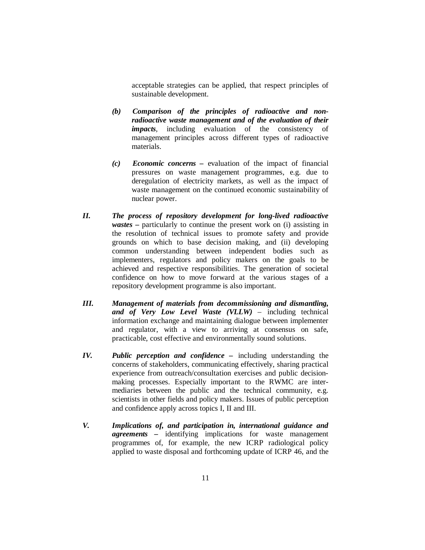acceptable strategies can be applied, that respect principles of sustainable development.

- *(b) Comparison of the principles of radioactive and nonradioactive waste management and of the evaluation of their impacts,* including evaluation of the consistency of management principles across different types of radioactive materials.
- *(c) Economic concerns –* evaluation of the impact of financial pressures on waste management programmes, e.g. due to deregulation of electricity markets, as well as the impact of waste management on the continued economic sustainability of nuclear power.
- *II. The process of repository development for long-lived radioactive wastes –* particularly to continue the present work on (i) assisting in the resolution of technical issues to promote safety and provide grounds on which to base decision making, and (ii) developing common understanding between independent bodies such as implementers, regulators and policy makers on the goals to be achieved and respective responsibilities. The generation of societal confidence on how to move forward at the various stages of a repository development programme is also important.
- *III. Management of materials from decommissioning and dismantling, and of Very Low Level Waste (VLLW)* – including technical information exchange and maintaining dialogue between implementer and regulator, with a view to arriving at consensus on safe, practicable, cost effective and environmentally sound solutions.
- *IV. Public perception and confidence –* including understanding the concerns of stakeholders, communicating effectively, sharing practical experience from outreach/consultation exercises and public decisionmaking processes. Especially important to the RWMC are intermediaries between the public and the technical community, e.g. scientists in other fields and policy makers. Issues of public perception and confidence apply across topics I, II and III.
- *V. Implications of, and participation in, international guidance and agreements –* identifying implications for waste management programmes of, for example, the new ICRP radiological policy applied to waste disposal and forthcoming update of ICRP 46, and the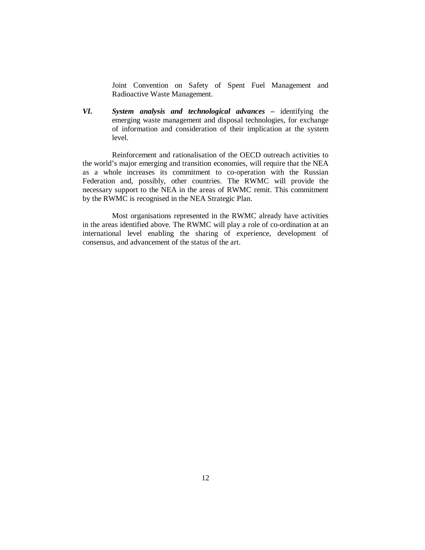Joint Convention on Safety of Spent Fuel Management and Radioactive Waste Management.

*VI. System analysis and technological advances* **–** identifying the emerging waste management and disposal technologies, for exchange of information and consideration of their implication at the system level.

Reinforcement and rationalisation of the OECD outreach activities to the world's major emerging and transition economies, will require that the NEA as a whole increases its commitment to co-operation with the Russian Federation and, possibly, other countries. The RWMC will provide the necessary support to the NEA in the areas of RWMC remit. This commitment by the RWMC is recognised in the NEA Strategic Plan.

Most organisations represented in the RWMC already have activities in the areas identified above. The RWMC will play a role of co-ordination at an international level enabling the sharing of experience, development of consensus, and advancement of the status of the art.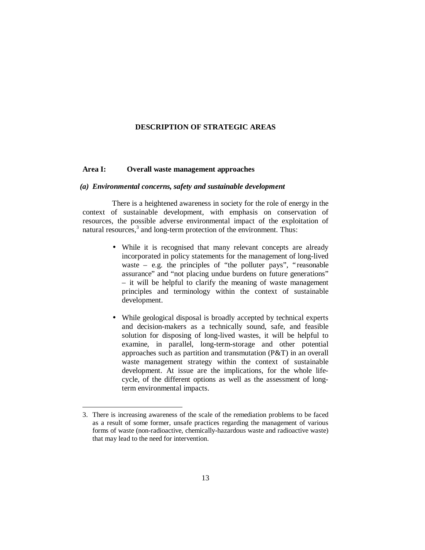# **DESCRIPTION OF STRATEGIC AREAS**

# **Area I: Overall waste management approaches**

### *(a) Environmental concerns, safety and sustainable development*

There is a heightened awareness in society for the role of energy in the context of sustainable development, with emphasis on conservation of resources, the possible adverse environmental impact of the exploitation of natural resources,<sup>3</sup> and long-term protection of the environment. Thus:

- While it is recognised that many relevant concepts are already incorporated in policy statements for the management of long-lived waste – e.g. the principles of "the polluter pays", "reasonable assurance" and "not placing undue burdens on future generations" – it will be helpful to clarify the meaning of waste management principles and terminology within the context of sustainable development.
- While geological disposal is broadly accepted by technical experts and decision-makers as a technically sound, safe, and feasible solution for disposing of long-lived wastes, it will be helpful to examine, in parallel, long-term-storage and other potential approaches such as partition and transmutation (P&T) in an overall waste management strategy within the context of sustainable development. At issue are the implications, for the whole lifecycle, of the different options as well as the assessment of longterm environmental impacts.

<sup>3.</sup> There is increasing awareness of the scale of the remediation problems to be faced as a result of some former, unsafe practices regarding the management of various forms of waste (non-radioactive, chemically-hazardous waste and radioactive waste) that may lead to the need for intervention.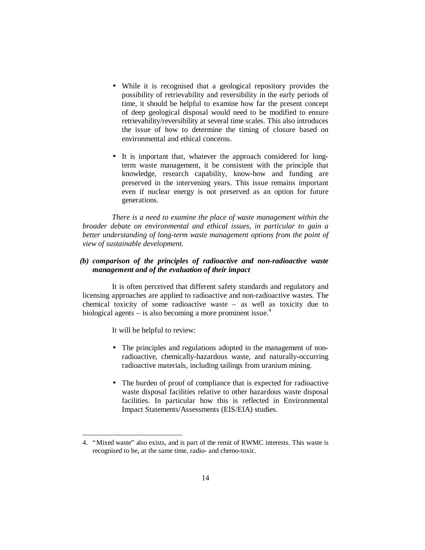- While it is recognised that a geological repository provides the possibility of retrievability and reversibility in the early periods of time, it should be helpful to examine how far the present concept of deep geological disposal would need to be modified to ensure retrievability/reversibility at several time scales. This also introduces the issue of how to determine the timing of closure based on environmental and ethical concerns.
- It is important that, whatever the approach considered for longterm waste management, it be consistent with the principle that knowledge, research capability, know-how and funding are preserved in the intervening years. This issue remains important even if nuclear energy is not preserved as an option for future generations.

*There is a need to examine the place of waste management within the broader debate on environmental and ethical issues, in particular to gain a better understanding of long-term waste management options from the point of view of sustainable development.*

# *(b) comparison of the principles of radioactive and non-radioactive waste management and of the evaluation of their impact*

It is often perceived that different safety standards and regulatory and licensing approaches are applied to radioactive and non-radioactive wastes. The chemical toxicity of some radioactive waste – as well as toxicity due to biological agents – is also becoming a more prominent issue. $4$ 

It will be helpful to review:

- The principles and regulations adopted in the management of nonradioactive, chemically-hazardous waste, and naturally-occurring radioactive materials, including tailings from uranium mining.
- The burden of proof of compliance that is expected for radioactive waste disposal facilities relative to other hazardous waste disposal facilities. In particular how this is reflected in Environmental Impact Statements/Assessments (EIS/EIA) studies.

<sup>4.</sup> "Mixed waste" also exists, and is part of the remit of RWMC interests. This waste is recognised to be, at the same time, radio- and chemo-toxic.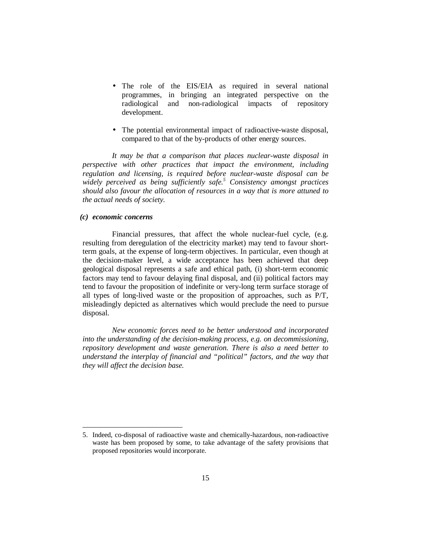- The role of the EIS/EIA as required in several national programmes, in bringing an integrated perspective on the radiological and non-radiological impacts of repository development.
- The potential environmental impact of radioactive-waste disposal, compared to that of the by-products of other energy sources.

*It may be that a comparison that places nuclear-waste disposal in perspective with other practices that impact the environment, including regulation and licensing, is required before nuclear-waste disposal can be widely perceived as being sufficiently safe.<sup>5</sup> Consistency amongst practices should also favour the allocation of resources in a way that is more attuned to the actual needs of society.*

# *(c) economic concerns*

 $\overline{a}$ 

Financial pressures, that affect the whole nuclear-fuel cycle, (e.g. resulting from deregulation of the electricity market) may tend to favour shortterm goals, at the expense of long-term objectives. In particular, even though at the decision-maker level, a wide acceptance has been achieved that deep geological disposal represents a safe and ethical path, (i) short-term economic factors may tend to favour delaying final disposal, and (ii) political factors may tend to favour the proposition of indefinite or very-long term surface storage of all types of long-lived waste or the proposition of approaches, such as P/T, misleadingly depicted as alternatives which would preclude the need to pursue disposal.

*New economic forces need to be better understood and incorporated into the understanding of the decision-making process, e.g. on decommissioning, repository development and waste generation. There is also a need better to understand the interplay of financial and "political" factors, and the way that they will affect the decision base.*

<sup>5.</sup> Indeed, co-disposal of radioactive waste and chemically-hazardous, non-radioactive waste has been proposed by some, to take advantage of the safety provisions that proposed repositories would incorporate.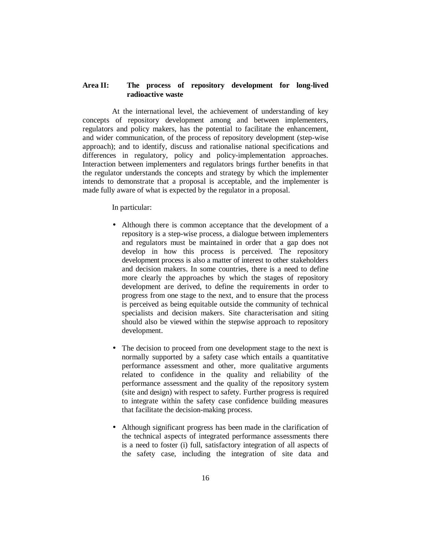# **Area II: The process of repository development for long-lived radioactive waste**

At the international level, the achievement of understanding of key concepts of repository development among and between implementers, regulators and policy makers, has the potential to facilitate the enhancement, and wider communication, of the process of repository development (step-wise approach); and to identify, discuss and rationalise national specifications and differences in regulatory, policy and policy-implementation approaches. Interaction between implementers and regulators brings further benefits in that the regulator understands the concepts and strategy by which the implementer intends to demonstrate that a proposal is acceptable, and the implementer is made fully aware of what is expected by the regulator in a proposal.

In particular:

- Although there is common acceptance that the development of a repository is a step-wise process, a dialogue between implementers and regulators must be maintained in order that a gap does not develop in how this process is perceived. The repository development process is also a matter of interest to other stakeholders and decision makers. In some countries, there is a need to define more clearly the approaches by which the stages of repository development are derived, to define the requirements in order to progress from one stage to the next, and to ensure that the process is perceived as being equitable outside the community of technical specialists and decision makers. Site characterisation and siting should also be viewed within the stepwise approach to repository development.
- The decision to proceed from one development stage to the next is normally supported by a safety case which entails a quantitative performance assessment and other, more qualitative arguments related to confidence in the quality and reliability of the performance assessment and the quality of the repository system (site and design) with respect to safety. Further progress is required to integrate within the safety case confidence building measures that facilitate the decision-making process.
- Although significant progress has been made in the clarification of the technical aspects of integrated performance assessments there is a need to foster (i) full, satisfactory integration of all aspects of the safety case, including the integration of site data and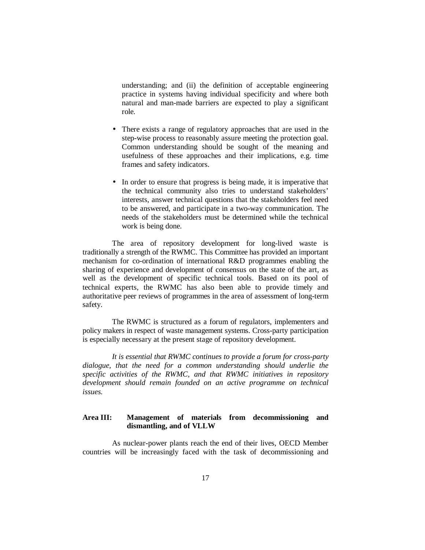understanding; and (ii) the definition of acceptable engineering practice in systems having individual specificity and where both natural and man-made barriers are expected to play a significant role.

- There exists a range of regulatory approaches that are used in the step-wise process to reasonably assure meeting the protection goal. Common understanding should be sought of the meaning and usefulness of these approaches and their implications, e.g. time frames and safety indicators.
- In order to ensure that progress is being made, it is imperative that the technical community also tries to understand stakeholders' interests, answer technical questions that the stakeholders feel need to be answered, and participate in a two-way communication. The needs of the stakeholders must be determined while the technical work is being done.

The area of repository development for long-lived waste is traditionally a strength of the RWMC. This Committee has provided an important mechanism for co-ordination of international R&D programmes enabling the sharing of experience and development of consensus on the state of the art, as well as the development of specific technical tools. Based on its pool of technical experts, the RWMC has also been able to provide timely and authoritative peer reviews of programmes in the area of assessment of long-term safety.

The RWMC is structured as a forum of regulators, implementers and policy makers in respect of waste management systems. Cross-party participation is especially necessary at the present stage of repository development.

*It is essential that RWMC continues to provide a forum for cross-party dialogue, that the need for a common understanding should underlie the specific activities of the RWMC, and that RWMC initiatives in repository development should remain founded on an active programme on technical issues.*

# **Area III: Management of materials from decommissioning and dismantling, and of VLLW**

As nuclear-power plants reach the end of their lives, OECD Member countries will be increasingly faced with the task of decommissioning and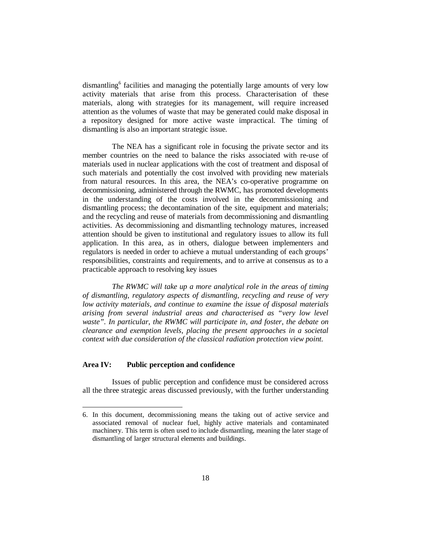dismantling<sup>6</sup> facilities and managing the potentially large amounts of very low activity materials that arise from this process. Characterisation of these materials, along with strategies for its management, will require increased attention as the volumes of waste that may be generated could make disposal in a repository designed for more active waste impractical. The timing of dismantling is also an important strategic issue.

The NEA has a significant role in focusing the private sector and its member countries on the need to balance the risks associated with re-use of materials used in nuclear applications with the cost of treatment and disposal of such materials and potentially the cost involved with providing new materials from natural resources. In this area, the NEA's co-operative programme on decommissioning, administered through the RWMC, has promoted developments in the understanding of the costs involved in the decommissioning and dismantling process; the decontamination of the site, equipment and materials; and the recycling and reuse of materials from decommissioning and dismantling activities. As decommissioning and dismantling technology matures, increased attention should be given to institutional and regulatory issues to allow its full application. In this area, as in others, dialogue between implementers and regulators is needed in order to achieve a mutual understanding of each groups' responsibilities, constraints and requirements, and to arrive at consensus as to a practicable approach to resolving key issues

*The RWMC will take up a more analytical role in the areas of timing of dismantling, regulatory aspects of dismantling, recycling and reuse of very low activity materials, and continue to examine the issue of disposal materials arising from several industrial areas and characterised as "very low level waste". In particular, the RWMC will participate in, and foster, the debate on clearance and exemption levels, placing the present approaches in a societal context with due consideration of the classical radiation protection view point.*

# **Area IV: Public perception and confidence**

Issues of public perception and confidence must be considered across all the three strategic areas discussed previously, with the further understanding

<sup>6.</sup> In this document, decommissioning means the taking out of active service and associated removal of nuclear fuel, highly active materials and contaminated machinery. This term is often used to include dismantling, meaning the later stage of dismantling of larger structural elements and buildings.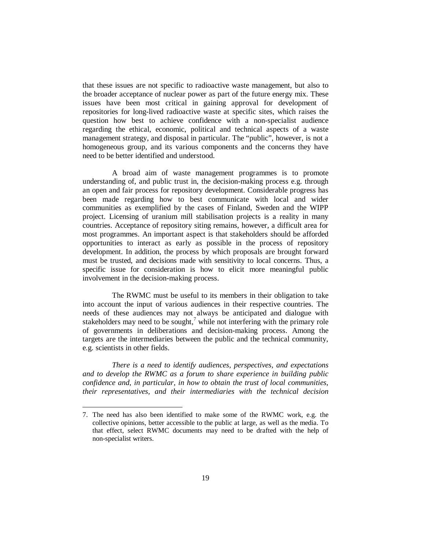that these issues are not specific to radioactive waste management, but also to the broader acceptance of nuclear power as part of the future energy mix. These issues have been most critical in gaining approval for development of repositories for long-lived radioactive waste at specific sites, which raises the question how best to achieve confidence with a non-specialist audience regarding the ethical, economic, political and technical aspects of a waste management strategy, and disposal in particular. The "public", however, is not a homogeneous group, and its various components and the concerns they have need to be better identified and understood.

A broad aim of waste management programmes is to promote understanding of, and public trust in, the decision-making process e.g. through an open and fair process for repository development. Considerable progress has been made regarding how to best communicate with local and wider communities as exemplified by the cases of Finland, Sweden and the WIPP project. Licensing of uranium mill stabilisation projects is a reality in many countries. Acceptance of repository siting remains, however, a difficult area for most programmes. An important aspect is that stakeholders should be afforded opportunities to interact as early as possible in the process of repository development. In addition, the process by which proposals are brought forward must be trusted, and decisions made with sensitivity to local concerns. Thus, a specific issue for consideration is how to elicit more meaningful public involvement in the decision-making process.

The RWMC must be useful to its members in their obligation to take into account the input of various audiences in their respective countries. The needs of these audiences may not always be anticipated and dialogue with stakeholders may need to be sought,<sup>7</sup> while not interfering with the primary role of governments in deliberations and decision-making process. Among the targets are the intermediaries between the public and the technical community, e.g. scientists in other fields.

*There is a need to identify audiences, perspectives, and expectations and to develop the RWMC as a forum to share experience in building public confidence and, in particular, in how to obtain the trust of local communities, their representatives, and their intermediaries with the technical decision*

<sup>7.</sup> The need has also been identified to make some of the RWMC work, e.g. the collective opinions, better accessible to the public at large, as well as the media. To that effect, select RWMC documents may need to be drafted with the help of non-specialist writers.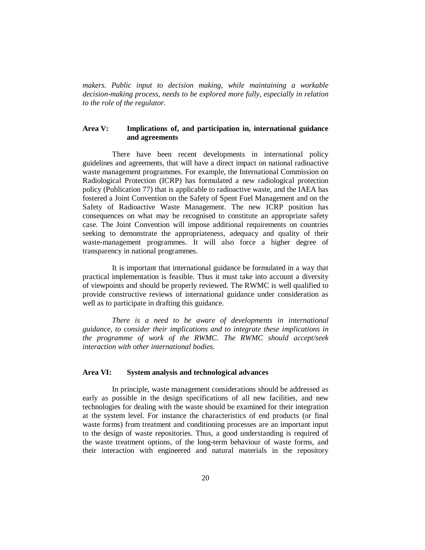*makers. Public input to decision making, while maintaining a workable decision-making process, needs to be explored more fully, especially in relation to the role of the regulator.*

# **Area V: Implications of, and participation in, international guidance and agreements**

There have been recent developments in international policy guidelines and agreements, that will have a direct impact on national radioactive waste management programmes. For example, the International Commission on Radiological Protection (ICRP) has formulated a new radiological protection policy (Publication 77) that is applicable to radioactive waste, and the IAEA has fostered a Joint Convention on the Safety of Spent Fuel Management and on the Safety of Radioactive Waste Management. The new ICRP position has consequences on what may be recognised to constitute an appropriate safety case. The Joint Convention will impose additional requirements on countries seeking to demonstrate the appropriateness, adequacy and quality of their waste-management programmes. It will also force a higher degree of transparency in national programmes.

It is important that international guidance be formulated in a way that practical implementation is feasible. Thus it must take into account a diversity of viewpoints and should be properly reviewed. The RWMC is well qualified to provide constructive reviews of international guidance under consideration as well as to participate in drafting this guidance.

*There is a need to be aware of developments in international guidance, to consider their implications and to integrate these implications in the programme of work of the RWMC. The RWMC should accept/seek interaction with other international bodies.*

# **Area VI: System analysis and technological advances**

In principle, waste management considerations should be addressed as early as possible in the design specifications of all new facilities, and new technologies for dealing with the waste should be examined for their integration at the system level. For instance the characteristics of end products (or final waste forms) from treatment and conditioning processes are an important input to the design of waste repositories. Thus, a good understanding is required of the waste treatment options, of the long-term behaviour of waste forms, and their interaction with engineered and natural materials in the repository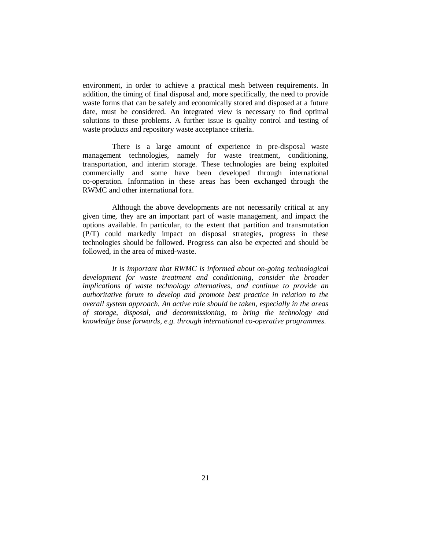environment, in order to achieve a practical mesh between requirements. In addition, the timing of final disposal and, more specifically, the need to provide waste forms that can be safely and economically stored and disposed at a future date, must be considered. An integrated view is necessary to find optimal solutions to these problems. A further issue is quality control and testing of waste products and repository waste acceptance criteria.

There is a large amount of experience in pre-disposal waste management technologies, namely for waste treatment, conditioning, transportation, and interim storage. These technologies are being exploited commercially and some have been developed through international co-operation. Information in these areas has been exchanged through the RWMC and other international fora.

Although the above developments are not necessarily critical at any given time, they are an important part of waste management, and impact the options available. In particular, to the extent that partition and transmutation (P/T) could markedly impact on disposal strategies, progress in these technologies should be followed. Progress can also be expected and should be followed, in the area of mixed-waste.

*It is important that RWMC is informed about on-going technological development for waste treatment and conditioning, consider the broader implications of waste technology alternatives, and continue to provide an authoritative forum to develop and promote best practice in relation to the overall system approach. An active role should be taken, especially in the areas of storage, disposal, and decommissioning, to bring the technology and knowledge base forwards, e.g. through international co-operative programmes.*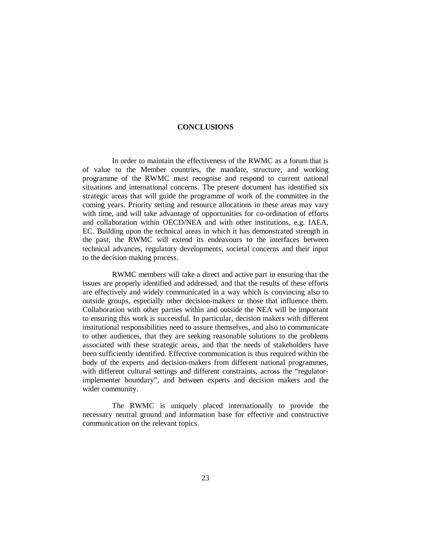## **CONCLUSIONS**

In order to maintain the effectiveness of the RWMC as a forum that is of value to the Member countries, the mandate, structure, and working programme of the RWMC must recognise and respond to current national situations and international concerns. The present document has identified six strategic areas that will guide the programme of work of the committee in the coming years. Priority setting and resource allocations in these areas may vary with time, and will take advantage of opportunities for co-ordination of efforts and collaboration within OECD/NEA and with other institutions, e.g. IAEA, EC. Building upon the technical areas in which it has demonstrated strength in the past, the RWMC will extend its endeavours to the interfaces between technical advances, regulatory developments, societal concerns and their input to the decision making process.

RWMC members will take a direct and active part in ensuring that the issues are properly identified and addressed, and that the results of these efforts are effectively and widely communicated in a way which is convincing also to outside groups, especially other decision-makers or those that influence them. Collaboration with other parties within and outside the NEA will be important to ensuring this work is successful. In particular, decision makers with different institutional responsibilities need to assure themselves, and also to communicate to other audiences, that they are seeking reasonable solutions to the problems associated with these strategic areas, and that the needs of stakeholders have been sufficiently identified. Effective communication is thus required within the body of the experts and decision-makers from different national programmes, with different cultural settings and different constraints, across the "regulatorimplementer boundary", and between experts and decision makers and the wider community.

The RWMC is uniquely placed internationally to provide the necessary neutral ground and information base for effective and constructive communication on the relevant topics.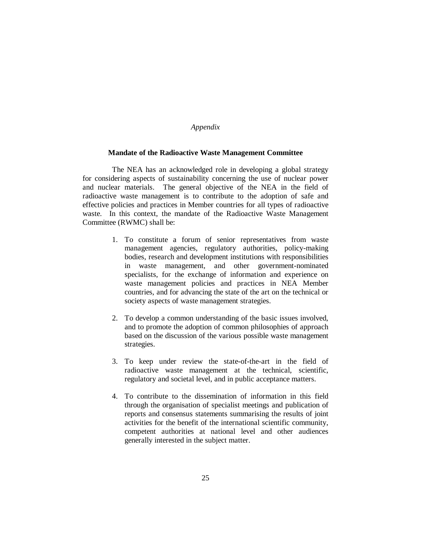# *Appendix*

# **Mandate of the Radioactive Waste Management Committee**

The NEA has an acknowledged role in developing a global strategy for considering aspects of sustainability concerning the use of nuclear power and nuclear materials. The general objective of the NEA in the field of radioactive waste management is to contribute to the adoption of safe and effective policies and practices in Member countries for all types of radioactive waste. In this context, the mandate of the Radioactive Waste Management Committee (RWMC) shall be:

- 1. To constitute a forum of senior representatives from waste management agencies, regulatory authorities, policy-making bodies, research and development institutions with responsibilities in waste management, and other government-nominated specialists, for the exchange of information and experience on waste management policies and practices in NEA Member countries, and for advancing the state of the art on the technical or society aspects of waste management strategies.
- 2. To develop a common understanding of the basic issues involved, and to promote the adoption of common philosophies of approach based on the discussion of the various possible waste management strategies.
- 3. To keep under review the state-of-the-art in the field of radioactive waste management at the technical, scientific, regulatory and societal level, and in public acceptance matters.
- 4. To contribute to the dissemination of information in this field through the organisation of specialist meetings and publication of reports and consensus statements summarising the results of joint activities for the benefit of the international scientific community, competent authorities at national level and other audiences generally interested in the subject matter.